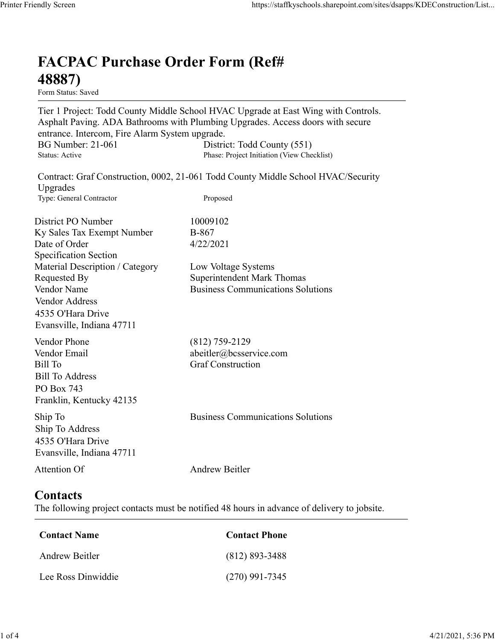## FACPAC Purchase Order Form (Ref# 48887)

Form Status: Saved

Tier 1 Project: Todd County Middle School HVAC Upgrade at East Wing with Controls. Asphalt Paving. ADA Bathrooms with Plumbing Upgrades. Access doors with secure entrance. Intercom, Fire Alarm System upgrade. https://staffkyschools.sharepoint.com/sites/dsapps/KDEConstructic<br> **FACPAC Purchase Order Form (Ref#**<br>
H8887)<br>
Form Status: Saved<br>
Tier 1 Project: Todd County Middle School HVAC Upgrade at East Wing with Controls.<br>
Asphalt https://staffkyschools.sharepoint.com/sites/dsapps/KDEConstructic<br> **FACPAC Purchase Order Form (Ref#**<br>
Form Status: Saved<br>
Tier 1 Project: Todd County Middle School HVAC Upgrade at East Wing with Controls.<br>
Asphalt Paving. May Screen<br>
Intps://staffkyschools.sharepoint.com/sites/dsarps/KDFConstructic<br>
Term Status: Saved<br>
Form Status: Saved<br>
Form Status: Saved<br>
Term Project: Todd County Middle School HVAC Upgrade at East Wing with Controls.<br>
A FACPAC Purchase Order Form (Ref#<br>
48887)<br>
Form Status: Saved<br>
Tier 1 Project: Todd County Middle School HVAC Upgrade at East Wing with Controls.<br>
Asphalt Paving. ADA Bathrooms with Plumbing Upgrades. Access doors with secu **FACPAC Purchase Order Form (Ref#**<br> **48887)**<br>
Form Staws<br>
Form Staves<br>
Term States Towards Control School HVAC Upgrade at East Wing with Controls.<br>
Term 1 Project: Todd County Middle School HVAC (551)<br>
BG Number: 21-061 D FACPAC Purchase Order Form (Ref#<br>
48887)<br>
Form Status: Saved<br>
Tier 1 Project: Todd County Middle School HVAC Upgrade at East Wing with Controls.<br>
Asphalt Paving. ADA Bathrooms with Plumbing Upgrades. Access doors with secu **FACPAC Purchase Order Form (Ref#**<br> **48887)**<br>
Form Staats Saved<br>
Form Staats (Scription Controls), Ther 1 Project: Todd County Middle School HVAC Upgrade at East Wing with Controls.<br>
Asphalt Paving. ADA Bathrooms with Plum **48887)**<br>
Form Statuss Saved<br>
Tier 1 Project: Todd County Middle School HVAC Upgrade at East Wing with Controls.<br>
Apphalt Paving. ADA Bathrooms with Plumbing Upgrades. Access doors with secure<br>
entrance. Intercom, Fire Ala **From States:**<br> **From States:**<br> **From States:**<br> **From States:**<br> **From States:**<br> **Communication Communications With Plumbing Upgrades. Access doors with secure<br>
entrance. Intercom, Fire Alarm System upgrade.<br>
<b>Business Comm** entrance. Intercom, Fire Alarm System upgrade.<br>
BG Number: 21-061 District: Todd County (551)<br>
Status: Active Phase: Project Initiation (View Checklist)<br>
Upgrades<br>
Contract: Graf Construction, 0002, 21-061 Todd County Midd

Contract: Graf Construction, 0002, 21-061 Todd County Middle School HVAC/Security Upgrades

Specification Section Vendor Address 4535 O'Hara Drive Evansville, Indiana 47711 Exampler: 21-061<br>
Elease Project Initiation (Vew Checklist)<br>
Status: Arive<br>
Contract: Graf Construction, 0002, 21-061 Todd County Middle School HVAC/Sceurity<br>
Upgrades<br>
Type: General Continents<br>
Expectification Section<br>
Ex Sultan: Active<br>
Expansion: Active Transe: Prince Industry Construction<br>
Upgrades<br>
Upgrades<br>
Type: General Contractor<br>
The Construction<br>
District PO Number<br>
District PO Number<br>
IDistrict PO Number<br>
IDistrict PO Number<br>
IDis District PO Number<br>
Sky Sales Tax Exempt Number<br>
B-867<br>
Date of Order<br>
Specification Section<br>
Material Description / Category<br>
Low Voltage Systems<br>
Nendexted By<br>
Nondor Name<br>
Nendexted By<br>
Superinted and Kirk Thomas<br>
Vendo Material Description / Category<br>
Requested By<br>
Requested By<br>
Nodor Name<br>
Vendor Name<br>
Vendor Address<br>
Vendor Address<br>
1433 O'Hara Drive<br>
Evansville, Indiana 47711<br>
Vendor Phone<br>
(812) 759-2129<br>
Vendor Phone<br>
(812) 759-2129

## **Contacts**

| Vendor Phone<br>$(812)$ 759-2129<br>Vendor Email<br>abeitler@bcsservice.com                                              |  |
|--------------------------------------------------------------------------------------------------------------------------|--|
| <b>Graf Construction</b><br>Bill To<br><b>Bill To Address</b><br>PO Box 743<br>Franklin, Kentucky 42135                  |  |
| <b>Business Communications Solutions</b><br>Ship To<br>Ship To Address<br>4535 O'Hara Drive<br>Evansville, Indiana 47711 |  |
| Attention Of<br><b>Andrew Beitler</b>                                                                                    |  |
| Contacts<br>The following project contacts must be notified 48 hours in advance of delivery to jobsite.                  |  |
| <b>Contact Phone</b><br><b>Contact Name</b>                                                                              |  |
| Andrew Beitler<br>$(812) 893 - 3488$                                                                                     |  |
| Lee Ross Dinwiddie<br>$(270)$ 991-7345                                                                                   |  |
|                                                                                                                          |  |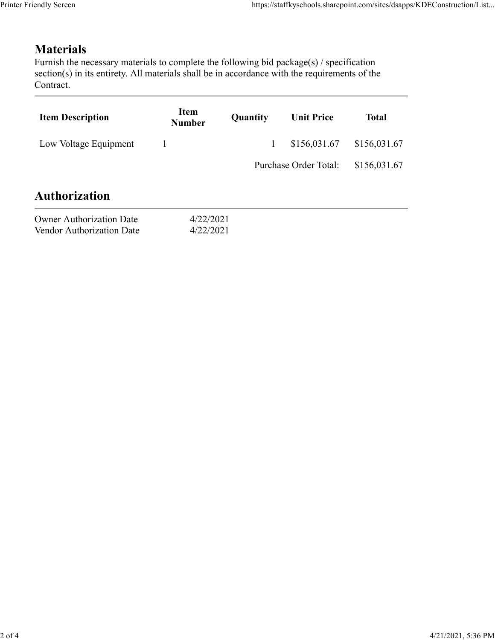## **Materials**

| endly Screen                                                                                                                                                                                                               | https://staffkyschools.sharepoint.com/sites/dsapps/KDEConstruction/List |          |                       |              |  |
|----------------------------------------------------------------------------------------------------------------------------------------------------------------------------------------------------------------------------|-------------------------------------------------------------------------|----------|-----------------------|--------------|--|
|                                                                                                                                                                                                                            |                                                                         |          |                       |              |  |
| <b>Materials</b><br>Furnish the necessary materials to complete the following bid package(s) / specification<br>section(s) in its entirety. All materials shall be in accordance with the requirements of the<br>Contract. |                                                                         |          |                       |              |  |
| <b>Item Description</b>                                                                                                                                                                                                    | Item<br><b>Number</b>                                                   | Quantity | <b>Unit Price</b>     | <b>Total</b> |  |
| Low Voltage Equipment                                                                                                                                                                                                      | $\mathbf{1}$                                                            |          | \$156,031.67          | \$156,031.67 |  |
|                                                                                                                                                                                                                            |                                                                         |          | Purchase Order Total: | \$156,031.67 |  |
| <b>Authorization</b>                                                                                                                                                                                                       |                                                                         |          |                       |              |  |
| <b>Owner Authorization Date</b><br>Vendor Authorization Date                                                                                                                                                               | 4/22/2021<br>4/22/2021                                                  |          |                       |              |  |
|                                                                                                                                                                                                                            |                                                                         |          |                       |              |  |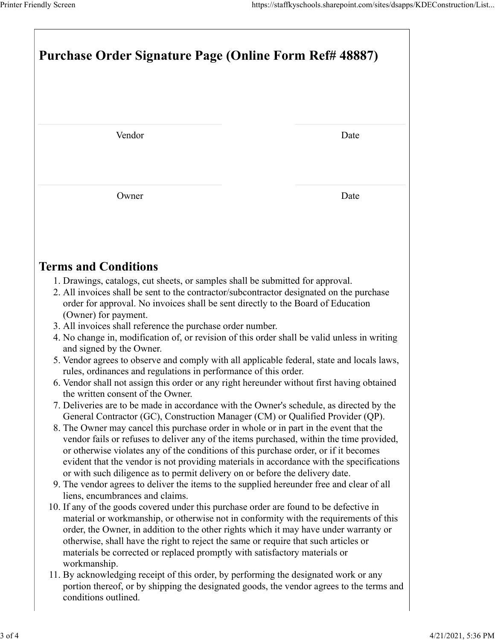| Printer Friendly Screen<br>https://staffkyschools.sharepoint.com/sites/dsapps/KDEConstruction/List<br>Purchase Order Signature Page (Online Form Ref# 48887)                                                                                                                                                                                                                                                                                                                     |      |  |  |  |  |
|----------------------------------------------------------------------------------------------------------------------------------------------------------------------------------------------------------------------------------------------------------------------------------------------------------------------------------------------------------------------------------------------------------------------------------------------------------------------------------|------|--|--|--|--|
|                                                                                                                                                                                                                                                                                                                                                                                                                                                                                  |      |  |  |  |  |
| Vendor                                                                                                                                                                                                                                                                                                                                                                                                                                                                           | Date |  |  |  |  |
| Owner                                                                                                                                                                                                                                                                                                                                                                                                                                                                            | Date |  |  |  |  |
| <b>Terms and Conditions</b><br>1. Drawings, catalogs, cut sheets, or samples shall be submitted for approval.                                                                                                                                                                                                                                                                                                                                                                    |      |  |  |  |  |
| 2. All invoices shall be sent to the contractor/subcontractor designated on the purchase<br>order for approval. No invoices shall be sent directly to the Board of Education<br>(Owner) for payment.<br>3. All invoices shall reference the purchase order number.                                                                                                                                                                                                               |      |  |  |  |  |
| 4. No change in, modification of, or revision of this order shall be valid unless in writing<br>and signed by the Owner.<br>5. Vendor agrees to observe and comply with all applicable federal, state and locals laws,<br>rules, ordinances and regulations in performance of this order.                                                                                                                                                                                        |      |  |  |  |  |
| 6. Vendor shall not assign this order or any right hereunder without first having obtained<br>the written consent of the Owner.<br>7. Deliveries are to be made in accordance with the Owner's schedule, as directed by the<br>General Contractor (GC), Construction Manager (CM) or Qualified Provider (QP).<br>8. The Owner may cancel this purchase order in whole or in part in the event that the                                                                           |      |  |  |  |  |
| vendor fails or refuses to deliver any of the items purchased, within the time provided,<br>or otherwise violates any of the conditions of this purchase order, or if it becomes<br>evident that the vendor is not providing materials in accordance with the specifications<br>or with such diligence as to permit delivery on or before the delivery date.<br>9. The vendor agrees to deliver the items to the supplied hereunder free and clear of all                        |      |  |  |  |  |
| liens, encumbrances and claims.<br>10. If any of the goods covered under this purchase order are found to be defective in<br>material or workmanship, or otherwise not in conformity with the requirements of this<br>order, the Owner, in addition to the other rights which it may have under warranty or<br>otherwise, shall have the right to reject the same or require that such articles or<br>materials be corrected or replaced promptly with satisfactory materials or |      |  |  |  |  |
| workmanship.<br>11. By acknowledging receipt of this order, by performing the designated work or any<br>portion thereof, or by shipping the designated goods, the vendor agrees to the terms and                                                                                                                                                                                                                                                                                 |      |  |  |  |  |